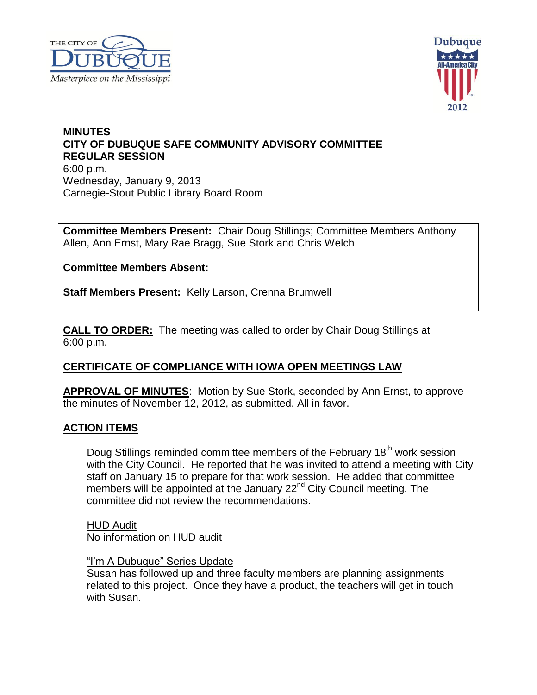



# **MINUTES CITY OF DUBUQUE SAFE COMMUNITY ADVISORY COMMITTEE REGULAR SESSION** 6:00 p.m. Wednesday, January 9, 2013 Carnegie-Stout Public Library Board Room

**Committee Members Present:** Chair Doug Stillings; Committee Members Anthony Allen, Ann Ernst, Mary Rae Bragg, Sue Stork and Chris Welch

**Committee Members Absent:**

**Staff Members Present:** Kelly Larson, Crenna Brumwell

**CALL TO ORDER:** The meeting was called to order by Chair Doug Stillings at 6:00 p.m.

# **CERTIFICATE OF COMPLIANCE WITH IOWA OPEN MEETINGS LAW**

**APPROVAL OF MINUTES**: Motion by Sue Stork, seconded by Ann Ernst, to approve the minutes of November 12, 2012, as submitted. All in favor.

## **ACTION ITEMS**

Doug Stillings reminded committee members of the February 18<sup>th</sup> work session with the City Council. He reported that he was invited to attend a meeting with City staff on January 15 to prepare for that work session. He added that committee members will be appointed at the January 22<sup>nd</sup> City Council meeting. The committee did not review the recommendations.

HUD Audit No information on HUD audit

#### "I'm A Dubuque" Series Update

Susan has followed up and three faculty members are planning assignments related to this project. Once they have a product, the teachers will get in touch with Susan.